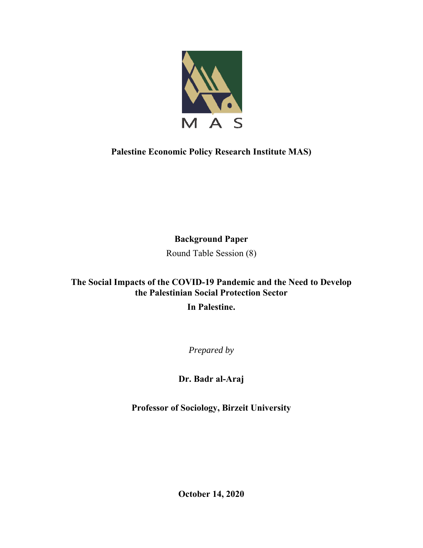

**Palestine Economic Policy Research Institute MAS)** 

**Background Paper** 

Round Table Session (8)

# **The Social Impacts of the COVID-19 Pandemic and the Need to Develop the Palestinian Social Protection Sector In Palestine.**

*Prepared by* 

**Dr. Badr al-Araj** 

**Professor of Sociology, Birzeit University**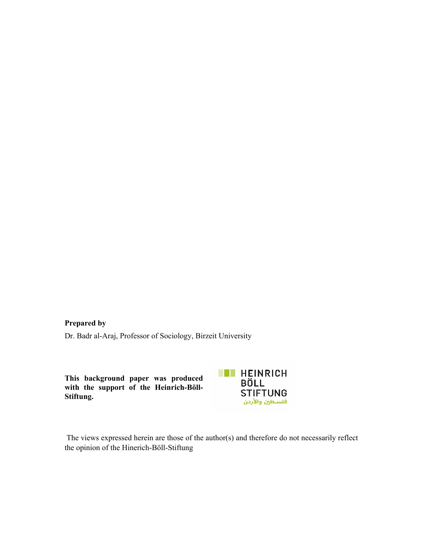# **Prepared by**

Dr. Badr al-Araj, Professor of Sociology, Birzeit University

**This background paper was produced with the support of the Heinrich-Böll-Stiftung.** 



 The views expressed herein are those of the author(s) and therefore do not necessarily reflect the opinion of the Hinerich-Böll-Stiftung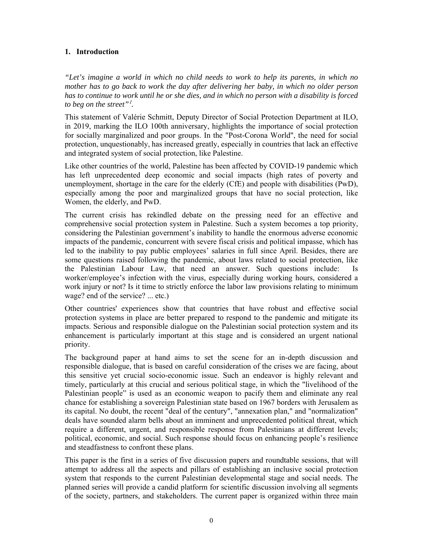# **1. Introduction**

*"Let's imagine a world in which no child needs to work to help its parents, in which no mother has to go back to work the day after delivering her baby, in which no older person has to continue to work until he or she dies, and in which no person with a disability is forced to beg on the street"*<sup>1</sup> *.* 

This statement of Valérie Schmitt, Deputy Director of Social Protection Department at ILO, in 2019, marking the ILO 100th anniversary, highlights the importance of social protection for socially marginalized and poor groups. In the "Post-Corona World", the need for social protection, unquestionably, has increased greatly, especially in countries that lack an effective and integrated system of social protection, like Palestine.

Like other countries of the world, Palestine has been affected by COVID-19 pandemic which has left unprecedented deep economic and social impacts (high rates of poverty and unemployment, shortage in the care for the elderly (CfE) and people with disabilities (PwD), especially among the poor and marginalized groups that have no social protection, like Women, the elderly, and PwD.

The current crisis has rekindled debate on the pressing need for an effective and comprehensive social protection system in Palestine. Such a system becomes a top priority, considering the Palestinian government's inability to handle the enormous adverse economic impacts of the pandemic, concurrent with severe fiscal crisis and political impasse, which has led to the inability to pay public employees' salaries in full since April. Besides, there are some questions raised following the pandemic, about laws related to social protection, like the Palestinian Labour Law, that need an answer. Such questions include: Is worker/employee's infection with the virus, especially during working hours, considered a work injury or not? Is it time to strictly enforce the labor law provisions relating to minimum wage? end of the service? ... etc.)

Other countries' experiences show that countries that have robust and effective social protection systems in place are better prepared to respond to the pandemic and mitigate its impacts. Serious and responsible dialogue on the Palestinian social protection system and its enhancement is particularly important at this stage and is considered an urgent national priority.

The background paper at hand aims to set the scene for an in-depth discussion and responsible dialogue, that is based on careful consideration of the crises we are facing, about this sensitive yet crucial socio-economic issue. Such an endeavor is highly relevant and timely, particularly at this crucial and serious political stage, in which the "livelihood of the Palestinian people" is used as an economic weapon to pacify them and eliminate any real chance for establishing a sovereign Palestinian state based on 1967 borders with Jerusalem as its capital. No doubt, the recent "deal of the century", "annexation plan," and "normalization" deals have sounded alarm bells about an imminent and unprecedented political threat, which require a different, urgent, and responsible response from Palestinians at different levels; political, economic, and social. Such response should focus on enhancing people's resilience and steadfastness to confront these plans.

This paper is the first in a series of five discussion papers and roundtable sessions, that will attempt to address all the aspects and pillars of establishing an inclusive social protection system that responds to the current Palestinian developmental stage and social needs. The planned series will provide a candid platform for scientific discussion involving all segments of the society, partners, and stakeholders. The current paper is organized within three main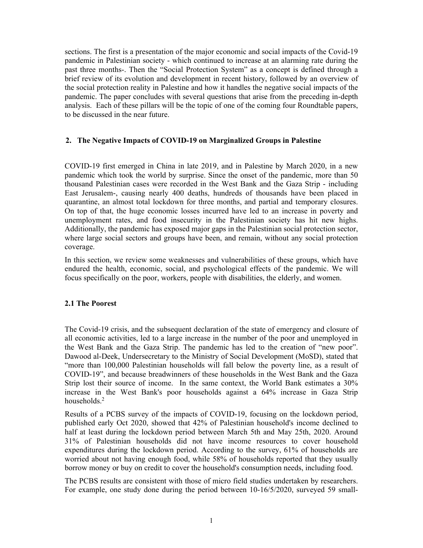sections. The first is a presentation of the major economic and social impacts of the Covid-19 pandemic in Palestinian society - which continued to increase at an alarming rate during the past three months-. Then the "Social Protection System" as a concept is defined through a brief review of its evolution and development in recent history, followed by an overview of the social protection reality in Palestine and how it handles the negative social impacts of the pandemic. The paper concludes with several questions that arise from the preceding in-depth analysis. Each of these pillars will be the topic of one of the coming four Roundtable papers, to be discussed in the near future.

# **2. The Negative Impacts of COVID-19 on Marginalized Groups in Palestine**

COVID-19 first emerged in China in late 2019, and in Palestine by March 2020, in a new pandemic which took the world by surprise. Since the onset of the pandemic, more than 50 thousand Palestinian cases were recorded in the West Bank and the Gaza Strip - including East Jerusalem-, causing nearly 400 deaths, hundreds of thousands have been placed in quarantine, an almost total lockdown for three months, and partial and temporary closures. On top of that, the huge economic losses incurred have led to an increase in poverty and unemployment rates, and food insecurity in the Palestinian society has hit new highs. Additionally, the pandemic has exposed major gaps in the Palestinian social protection sector, where large social sectors and groups have been, and remain, without any social protection coverage.

In this section, we review some weaknesses and vulnerabilities of these groups, which have endured the health, economic, social, and psychological effects of the pandemic. We will focus specifically on the poor, workers, people with disabilities, the elderly, and women.

## **2.1 The Poorest**

The Covid-19 crisis, and the subsequent declaration of the state of emergency and closure of all economic activities, led to a large increase in the number of the poor and unemployed in the West Bank and the Gaza Strip. The pandemic has led to the creation of "new poor". Dawood al-Deek, Undersecretary to the Ministry of Social Development (MoSD), stated that "more than 100,000 Palestinian households will fall below the poverty line, as a result of COVID-19", and because breadwinners of these households in the West Bank and the Gaza Strip lost their source of income. In the same context, the World Bank estimates a 30% increase in the West Bank's poor households against a 64% increase in Gaza Strip households.<sup>2</sup>

Results of a PCBS survey of the impacts of COVID-19, focusing on the lockdown period, published early Oct 2020, showed that 42% of Palestinian household's income declined to half at least during the lockdown period between March 5th and May 25th, 2020. Around 31% of Palestinian households did not have income resources to cover household expenditures during the lockdown period. According to the survey, 61% of households are worried about not having enough food, while 58% of households reported that they usually borrow money or buy on credit to cover the household's consumption needs, including food.

The PCBS results are consistent with those of micro field studies undertaken by researchers. For example, one study done during the period between 10-16/5/2020, surveyed 59 small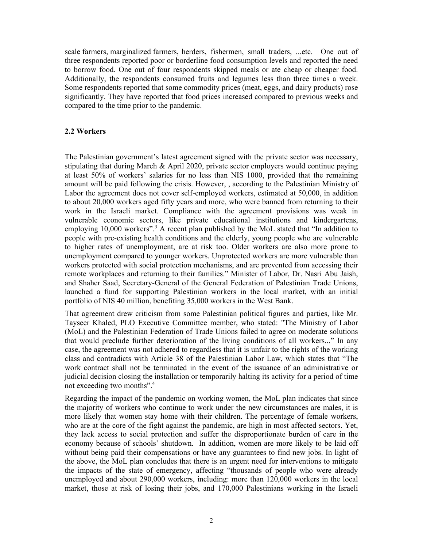scale farmers, marginalized farmers, herders, fishermen, small traders, ...etc. One out of three respondents reported poor or borderline food consumption levels and reported the need to borrow food. One out of four respondents skipped meals or ate cheap or cheaper food. Additionally, the respondents consumed fruits and legumes less than three times a week. Some respondents reported that some commodity prices (meat, eggs, and dairy products) rose significantly. They have reported that food prices increased compared to previous weeks and compared to the time prior to the pandemic.

## **2.2 Workers**

The Palestinian government's latest agreement signed with the private sector was necessary, stipulating that during March & April 2020, private sector employers would continue paying at least 50% of workers' salaries for no less than NIS 1000, provided that the remaining amount will be paid following the crisis. However, , according to the Palestinian Ministry of Labor the agreement does not cover self-employed workers, estimated at 50,000, in addition to about 20,000 workers aged fifty years and more, who were banned from returning to their work in the Israeli market. Compliance with the agreement provisions was weak in vulnerable economic sectors, like private educational institutions and kindergartens, employing 10,000 workers".<sup>3</sup> A recent plan published by the MoL stated that "In addition to people with pre-existing health conditions and the elderly, young people who are vulnerable to higher rates of unemployment, are at risk too. Older workers are also more prone to unemployment compared to younger workers. Unprotected workers are more vulnerable than workers protected with social protection mechanisms, and are prevented from accessing their remote workplaces and returning to their families." Minister of Labor, Dr. Nasri Abu Jaish, and Shaher Saad, Secretary-General of the General Federation of Palestinian Trade Unions, launched a fund for supporting Palestinian workers in the local market, with an initial portfolio of NIS 40 million, benefiting 35,000 workers in the West Bank.

That agreement drew criticism from some Palestinian political figures and parties, like Mr. Tayseer Khaled, PLO Executive Committee member, who stated: "The Ministry of Labor (MoL) and the Palestinian Federation of Trade Unions failed to agree on moderate solutions that would preclude further deterioration of the living conditions of all workers..." In any case, the agreement was not adhered to regardless that it is unfair to the rights of the working class and contradicts with Article 38 of the Palestinian Labor Law, which states that "The work contract shall not be terminated in the event of the issuance of an administrative or judicial decision closing the installation or temporarily halting its activity for a period of time not exceeding two months".<sup>4</sup>

Regarding the impact of the pandemic on working women, the MoL plan indicates that since the majority of workers who continue to work under the new circumstances are males, it is more likely that women stay home with their children. The percentage of female workers, who are at the core of the fight against the pandemic, are high in most affected sectors. Yet, they lack access to social protection and suffer the disproportionate burden of care in the economy because of schools' shutdown. In addition, women are more likely to be laid off without being paid their compensations or have any guarantees to find new jobs. In light of the above, the MoL plan concludes that there is an urgent need for interventions to mitigate the impacts of the state of emergency, affecting "thousands of people who were already unemployed and about 290,000 workers, including: more than 120,000 workers in the local market, those at risk of losing their jobs, and 170,000 Palestinians working in the Israeli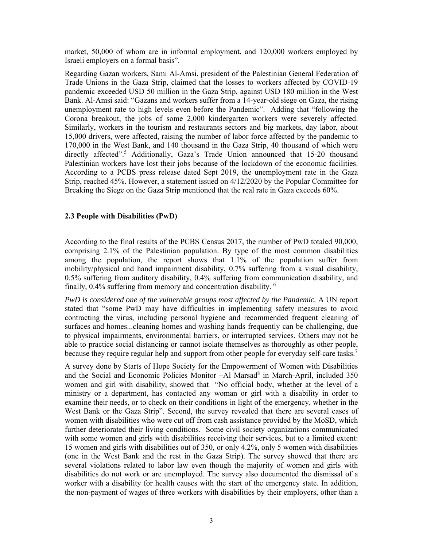market, 50,000 of whom are in informal employment, and 120,000 workers employed by Israeli employers on a formal basis".

Regarding Gazan workers, Sami Al-Amsi, president of the Palestinian General Federation of Trade Unions in the Gaza Strip, claimed that the losses to workers affected by COVID-19 pandemic exceeded USD 50 million in the Gaza Strip, against USD 180 million in the West Bank. Al-Amsi said: "Gazans and workers suffer from a 14-year-old siege on Gaza, the rising unemployment rate to high levels even before the Pandemic". Adding that "following the Corona breakout, the jobs of some 2,000 kindergarten workers were severely affected. Similarly, workers in the tourism and restaurants sectors and big markets, day labor, about 15,000 drivers, were affected, raising the number of labor force affected by the pandemic to 170,000 in the West Bank, and 140 thousand in the Gaza Strip, 40 thousand of which were directly affected".<sup>5</sup> Additionally, Gaza's Trade Union announced that 15-20 thousand Palestinian workers have lost their jobs because of the lockdown of the economic facilities. According to a PCBS press release dated Sept 2019, the unemployment rate in the Gaza Strip, reached 45%. However, a statement issued on 4/12/2020 by the Popular Committee for Breaking the Siege on the Gaza Strip mentioned that the real rate in Gaza exceeds 60%.

## **2.3 People with Disabilities (PwD)**

According to the final results of the PCBS Census 2017, the number of PwD totaled 90,000, comprising 2.1% of the Palestinian population. By type of the most common disabilities among the population, the report shows that 1.1% of the population suffer from mobility/physical and hand impairment disability, 0.7% suffering from a visual disability, 0.5% suffering from auditory disability, 0.4% suffering from communication disability, and finally, 0.4% suffering from memory and concentration disability. 6

*PwD is considered one of the vulnerable groups most affected by the Pandemic.* A UN report stated that "some PwD may have difficulties in implementing safety measures to avoid contracting the virus, including personal hygiene and recommended frequent cleaning of surfaces and homes...cleaning homes and washing hands frequently can be challenging, due to physical impairments, environmental barriers, or interrupted services. Others may not be able to practice social distancing or cannot isolate themselves as thoroughly as other people, because they require regular help and support from other people for everyday self-care tasks.<sup>7</sup>

A survey done by Starts of Hope Society for the Empowerment of Women with Disabilities and the Social and Economic Policies Monitor -Al Marsad<sup>8</sup> in March-April, included 350 women and girl with disability, showed that "No official body, whether at the level of a ministry or a department, has contacted any woman or girl with a disability in order to examine their needs, or to check on their conditions in light of the emergency, whether in the West Bank or the Gaza Strip". Second, the survey revealed that there are several cases of women with disabilities who were cut off from cash assistance provided by the MoSD, which further deteriorated their living conditions. Some civil society organizations communicated with some women and girls with disabilities receiving their services, but to a limited extent: 15 women and girls with disabilities out of 350, or only 4.2%, only 5 women with disabilities (one in the West Bank and the rest in the Gaza Strip). The survey showed that there are several violations related to labor law even though the majority of women and girls with disabilities do not work or are unemployed. The survey also documented the dismissal of a worker with a disability for health causes with the start of the emergency state. In addition, the non-payment of wages of three workers with disabilities by their employers, other than a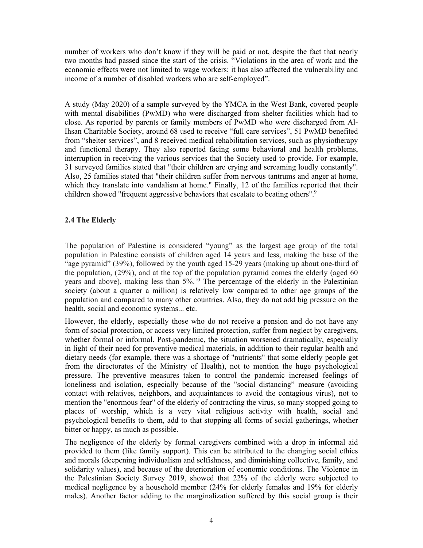number of workers who don't know if they will be paid or not, despite the fact that nearly two months had passed since the start of the crisis. "Violations in the area of work and the economic effects were not limited to wage workers; it has also affected the vulnerability and income of a number of disabled workers who are self-employed".

A study (May 2020) of a sample surveyed by the YMCA in the West Bank, covered people with mental disabilities (PwMD) who were discharged from shelter facilities which had to close. As reported by parents or family members of PwMD who were discharged from Al-Ihsan Charitable Society, around 68 used to receive "full care services", 51 PwMD benefited from "shelter services", and 8 received medical rehabilitation services, such as physiotherapy and functional therapy. They also reported facing some behavioral and health problems, interruption in receiving the various services that the Society used to provide. For example, 31 surveyed families stated that "their children are crying and screaming loudly constantly". Also, 25 families stated that "their children suffer from nervous tantrums and anger at home, which they translate into vandalism at home." Finally, 12 of the families reported that their children showed "frequent aggressive behaviors that escalate to beating others".<sup>9</sup>

# **2.4 The Elderly**

The population of Palestine is considered "young" as the largest age group of the total population in Palestine consists of children aged 14 years and less, making the base of the "age pyramid" (39%), followed by the youth aged 15-29 years (making up about one-third of the population, (29%), and at the top of the population pyramid comes the elderly (aged 60 years and above), making less than 5%.<sup>10</sup> The percentage of the elderly in the Palestinian society (about a quarter a million) is relatively low compared to other age groups of the population and compared to many other countries. Also, they do not add big pressure on the health, social and economic systems... etc.

However, the elderly, especially those who do not receive a pension and do not have any form of social protection, or access very limited protection, suffer from neglect by caregivers, whether formal or informal. Post-pandemic, the situation worsened dramatically, especially in light of their need for preventive medical materials, in addition to their regular health and dietary needs (for example, there was a shortage of "nutrients" that some elderly people get from the directorates of the Ministry of Health), not to mention the huge psychological pressure. The preventive measures taken to control the pandemic increased feelings of loneliness and isolation, especially because of the "social distancing" measure (avoiding contact with relatives, neighbors, and acquaintances to avoid the contagious virus), not to mention the "enormous fear" of the elderly of contracting the virus, so many stopped going to places of worship, which is a very vital religious activity with health, social and psychological benefits to them, add to that stopping all forms of social gatherings, whether bitter or happy, as much as possible.

The negligence of the elderly by formal caregivers combined with a drop in informal aid provided to them (like family support). This can be attributed to the changing social ethics and morals (deepening individualism and selfishness, and diminishing collective, family, and solidarity values), and because of the deterioration of economic conditions. The Violence in the Palestinian Society Survey 2019, showed that 22% of the elderly were subjected to medical negligence by a household member (24% for elderly females and 19% for elderly males). Another factor adding to the marginalization suffered by this social group is their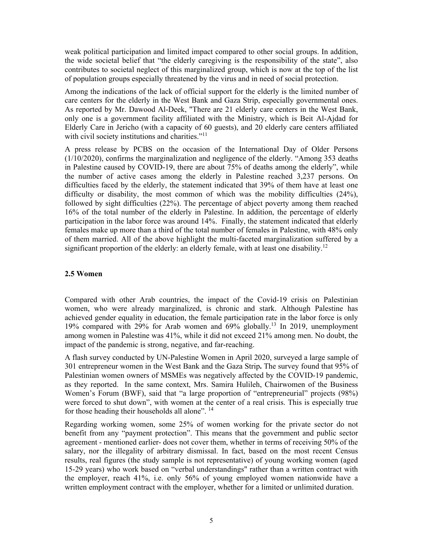weak political participation and limited impact compared to other social groups. In addition, the wide societal belief that "the elderly caregiving is the responsibility of the state", also contributes to societal neglect of this marginalized group, which is now at the top of the list of population groups especially threatened by the virus and in need of social protection.

Among the indications of the lack of official support for the elderly is the limited number of care centers for the elderly in the West Bank and Gaza Strip, especially governmental ones. As reported by Mr. Dawood Al-Deek, "There are 21 elderly care centers in the West Bank, only one is a government facility affiliated with the Ministry, which is Beit Al-Ajdad for Elderly Care in Jericho (with a capacity of 60 guests), and 20 elderly care centers affiliated with civil society institutions and charities. $"^{11}$ 

A press release by PCBS on the occasion of the International Day of Older Persons (1/10/2020), confirms the marginalization and negligence of the elderly. "Among 353 deaths in Palestine caused by COVID-19, there are about 75% of deaths among the elderly", while the number of active cases among the elderly in Palestine reached 3,237 persons. On difficulties faced by the elderly, the statement indicated that 39% of them have at least one difficulty or disability, the most common of which was the mobility difficulties (24%), followed by sight difficulties (22%). The percentage of abject poverty among them reached 16% of the total number of the elderly in Palestine. In addition, the percentage of elderly participation in the labor force was around 14%. Finally, the statement indicated that elderly females make up more than a third of the total number of females in Palestine, with 48% only of them married. All of the above highlight the multi-faceted marginalization suffered by a significant proportion of the elderly: an elderly female, with at least one disability.<sup>12</sup>

# **2.5 Women**

Compared with other Arab countries, the impact of the Covid-19 crisis on Palestinian women, who were already marginalized, is chronic and stark. Although Palestine has achieved gender equality in education, the female participation rate in the labor force is only 19% compared with 29% for Arab women and 69% globally.13 In 2019, unemployment among women in Palestine was 41%, while it did not exceed 21% among men. No doubt, the impact of the pandemic is strong, negative, and far-reaching.

A flash survey conducted by UN-Palestine Women in April 2020, surveyed a large sample of 301 entrepreneur women in the West Bank and the Gaza Strip**.** The survey found that 95% of Palestinian women owners of MSMEs was negatively affected by the COVID-19 pandemic, as they reported. In the same context, Mrs. Samira Hulileh, Chairwomen of the Business Women's Forum (BWF), said that "a large proportion of "entrepreneurial" projects (98%) were forced to shut down", with women at the center of a real crisis. This is especially true for those heading their households all alone".<sup>14</sup>

Regarding working women, some 25% of women working for the private sector do not benefit from any "payment protection". This means that the government and public sector agreement - mentioned earlier- does not cover them, whether in terms of receiving 50% of the salary, nor the illegality of arbitrary dismissal. In fact, based on the most recent Census results, real figures (the study sample is not representative) of young working women (aged 15-29 years) who work based on "verbal understandings" rather than a written contract with the employer, reach 41%, i.e. only 56% of young employed women nationwide have a written employment contract with the employer, whether for a limited or unlimited duration.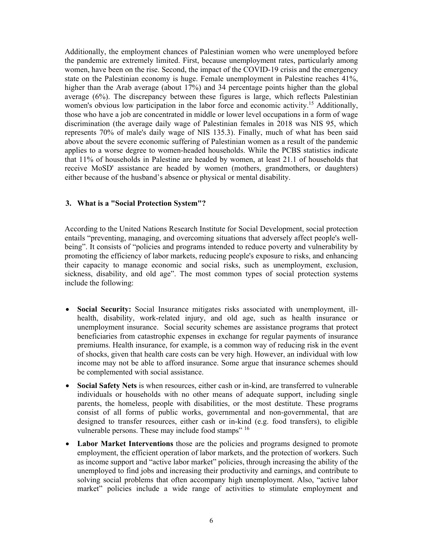Additionally, the employment chances of Palestinian women who were unemployed before the pandemic are extremely limited. First, because unemployment rates, particularly among women, have been on the rise. Second, the impact of the COVID-19 crisis and the emergency state on the Palestinian economy is huge. Female unemployment in Palestine reaches 41%, higher than the Arab average (about 17%) and 34 percentage points higher than the global average (6%). The discrepancy between these figures is large, which reflects Palestinian women's obvious low participation in the labor force and economic activity.<sup>15</sup> Additionally, those who have a job are concentrated in middle or lower level occupations in a form of wage discrimination (the average daily wage of Palestinian females in 2018 was NIS 95, which represents 70% of male's daily wage of NIS 135.3). Finally, much of what has been said above about the severe economic suffering of Palestinian women as a result of the pandemic applies to a worse degree to women-headed households. While the PCBS statistics indicate that 11% of households in Palestine are headed by women, at least 21.1 of households that receive MoSD' assistance are headed by women (mothers, grandmothers, or daughters) either because of the husband's absence or physical or mental disability.

# **3. What is a "Social Protection System"?**

According to the United Nations Research Institute for Social Development, social protection entails "preventing, managing, and overcoming situations that adversely affect people's wellbeing". It consists of "policies and programs intended to reduce poverty and vulnerability by promoting the efficiency of labor markets, reducing people's exposure to risks, and enhancing their capacity to manage economic and social risks, such as unemployment, exclusion, sickness, disability, and old age". The most common types of social protection systems include the following:

- **Social Security:** Social Insurance mitigates risks associated with unemployment, illhealth, disability, work-related injury, and old age, such as health insurance or unemployment insurance. Social security schemes are assistance programs that protect beneficiaries from catastrophic expenses in exchange for regular payments of insurance premiums. Health insurance, for example, is a common way of reducing risk in the event of shocks, given that health care costs can be very high. However, an individual with low income may not be able to afford insurance. Some argue that insurance schemes should be complemented with social assistance.
- **Social Safety Nets** is when resources, either cash or in-kind, are transferred to vulnerable individuals or households with no other means of adequate support, including single parents, the homeless, people with disabilities, or the most destitute. These programs consist of all forms of public works, governmental and non-governmental, that are designed to transfer resources, either cash or in-kind (e.g. food transfers), to eligible vulnerable persons. These may include food stamps" <sup>16</sup>
- **Labor Market Interventions** those are the policies and programs designed to promote employment, the efficient operation of labor markets, and the protection of workers. Such as income support and "active labor market" policies, through increasing the ability of the unemployed to find jobs and increasing their productivity and earnings, and contribute to solving social problems that often accompany high unemployment. Also, "active labor market" policies include a wide range of activities to stimulate employment and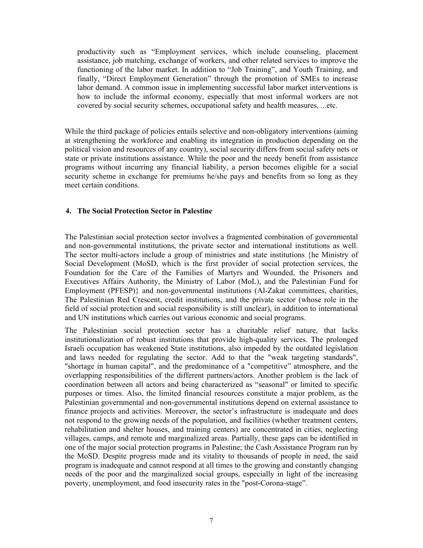productivity such as "Employment services, which include counseling, placement assistance, job matching, exchange of workers, and other related services to improve the functioning of the labor market. In addition to "Job Training", and Youth Training, and finally, "Direct Employment Generation" through the promotion of SMEs to increase labor demand. A common issue in implementing successful labor market interventions is how to include the informal economy, especially that most informal workers are not covered by social security schemes, occupational safety and health measures, ...etc.

While the third package of policies entails selective and non-obligatory interventions (aiming at strengthening the workforce and enabling its integration in production depending on the political vision and resources of any country), social security differs from social safety nets or state or private institutions assistance. While the poor and the needy benefit from assistance programs without incurring any financial liability, a person becomes eligible for a social security scheme in exchange for premiums he/she pays and benefits from so long as they meet certain conditions.

## **4. The Social Protection Sector in Palestine**

The Palestinian social protection sector involves a fragmented combination of governmental and non-governmental institutions, the private sector and international institutions as well. The sector multi-actors include a group of ministries and state institutions {he Ministry of Social Development (MoSD, which is the first provider of social protection services, the Foundation for the Care of the Families of Martyrs and Wounded, the Prisoners and Executives Affairs Authority, the Ministry of Labor (MoL), and the Palestinian Fund for Employment (PFESP)} and non-governmental institutions (Al-Zakat committees, charities, The Palestinian Red Crescent, credit institutions, and the private sector (whose role in the field of social protection and social responsibility is still unclear), in addition to international and UN institutions which carries out various economic and social programs.

The Palestinian social protection sector has a charitable relief nature, that lacks institutionalization of robust institutions that provide high-quality services. The prolonged Israeli occupation has weakened State institutions, also impeded by the outdated legislation and laws needed for regulating the sector. Add to that the "weak targeting standards", "shortage in human capital", and the predominance of a "competitive" atmosphere, and the overlapping responsibilities of the different partners/actors. Another problem is the lack of coordination between all actors and being characterized as "seasonal" or limited to specific purposes or times. Also, the limited financial resources constitute a major problem, as the Palestinian governmental and non-governmental institutions depend on external assistance to finance projects and activities. Moreover, the sector's infrastructure is inadequate and does not respond to the growing needs of the population, and facilities (whether treatment centers, rehabilitation and shelter houses, and training centers) are concentrated in cities, neglecting villages, camps, and remote and marginalized areas. Partially, these gaps can be identified in one of the major social protection programs in Palestine; the Cash Assistance Program run by the MoSD. Despite progress made and its vitality to thousands of people in need, the said program is inadequate and cannot respond at all times to the growing and constantly changing needs of the poor and the marginalized social groups, especially in light of the increasing poverty, unemployment, and food insecurity rates in the "post-Corona-stage".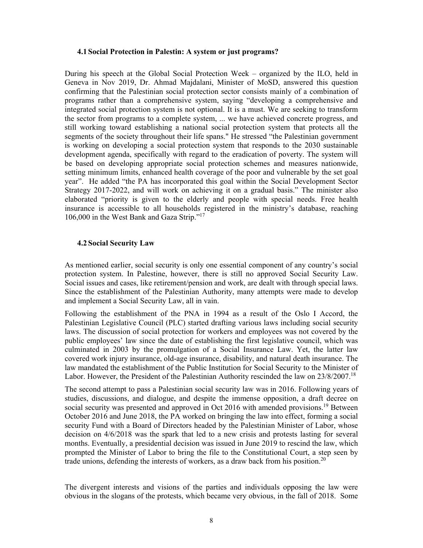#### **4.1 Social Protection in Palestin: A system or just programs?**

During his speech at the Global Social Protection Week – organized by the ILO, held in Geneva in Nov 2019, Dr. Ahmad Majdalani, Minister of MoSD, answered this question confirming that the Palestinian social protection sector consists mainly of a combination of programs rather than a comprehensive system, saying "developing a comprehensive and integrated social protection system is not optional. It is a must. We are seeking to transform the sector from programs to a complete system, ... we have achieved concrete progress, and still working toward establishing a national social protection system that protects all the segments of the society throughout their life spans." He stressed "the Palestinian government is working on developing a social protection system that responds to the 2030 sustainable development agenda, specifically with regard to the eradication of poverty. The system will be based on developing appropriate social protection schemes and measures nationwide, setting minimum limits, enhanced health coverage of the poor and vulnerable by the set goal year". He added "the PA has incorporated this goal within the Social Development Sector Strategy 2017-2022, and will work on achieving it on a gradual basis." The minister also elaborated "priority is given to the elderly and people with special needs. Free health insurance is accessible to all households registered in the ministry's database, reaching 106,000 in the West Bank and Gaza Strip."17

#### **4.2 Social Security Law**

As mentioned earlier, social security is only one essential component of any country's social protection system. In Palestine, however, there is still no approved Social Security Law. Social issues and cases, like retirement/pension and work, are dealt with through special laws. Since the establishment of the Palestinian Authority, many attempts were made to develop and implement a Social Security Law, all in vain.

Following the establishment of the PNA in 1994 as a result of the Oslo I Accord, the Palestinian Legislative Council (PLC) started drafting various laws including social security laws. The discussion of social protection for workers and employees was not covered by the public employees' law since the date of establishing the first legislative council, which was culminated in 2003 by the promulgation of a Social Insurance Law. Yet, the latter law covered work injury insurance, old-age insurance, disability, and natural death insurance. The law mandated the establishment of the Public Institution for Social Security to the Minister of Labor. However, the President of the Palestinian Authority rescinded the law on 23/8/2007.<sup>18</sup>

The second attempt to pass a Palestinian social security law was in 2016. Following years of studies, discussions, and dialogue, and despite the immense opposition, a draft decree on social security was presented and approved in Oct 2016 with amended provisions.<sup>19</sup> Between October 2016 and June 2018, the PA worked on bringing the law into effect, forming a social security Fund with a Board of Directors headed by the Palestinian Minister of Labor, whose decision on 4/6/2018 was the spark that led to a new crisis and protests lasting for several months. Eventually, a presidential decision was issued in June 2019 to rescind the law, which prompted the Minister of Labor to bring the file to the Constitutional Court, a step seen by trade unions, defending the interests of workers, as a draw back from his position.<sup>20</sup>

The divergent interests and visions of the parties and individuals opposing the law were obvious in the slogans of the protests, which became very obvious, in the fall of 2018. Some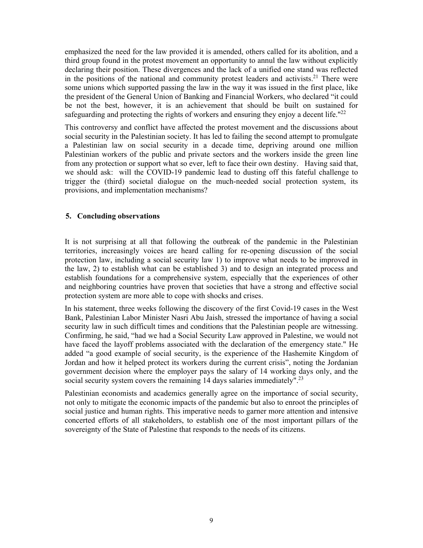emphasized the need for the law provided it is amended, others called for its abolition, and a third group found in the protest movement an opportunity to annul the law without explicitly declaring their position. These divergences and the lack of a unified one stand was reflected in the positions of the national and community protest leaders and activists.<sup>21</sup> There were some unions which supported passing the law in the way it was issued in the first place, like the president of the General Union of Banking and Financial Workers, who declared "it could be not the best, however, it is an achievement that should be built on sustained for safeguarding and protecting the rights of workers and ensuring they enjoy a decent life." $^{22}$ 

This controversy and conflict have affected the protest movement and the discussions about social security in the Palestinian society. It has led to failing the second attempt to promulgate a Palestinian law on social security in a decade time, depriving around one million Palestinian workers of the public and private sectors and the workers inside the green line from any protection or support what so ever, left to face their own destiny. Having said that, we should ask: will the COVID-19 pandemic lead to dusting off this fateful challenge to trigger the (third) societal dialogue on the much-needed social protection system, its provisions, and implementation mechanisms?

# **5. Concluding observations**

It is not surprising at all that following the outbreak of the pandemic in the Palestinian territories, increasingly voices are heard calling for re-opening discussion of the social protection law, including a social security law 1) to improve what needs to be improved in the law, 2) to establish what can be established 3) and to design an integrated process and establish foundations for a comprehensive system, especially that the experiences of other and neighboring countries have proven that societies that have a strong and effective social protection system are more able to cope with shocks and crises.

In his statement, three weeks following the discovery of the first Covid-19 cases in the West Bank, Palestinian Labor Minister Nasri Abu Jaish, stressed the importance of having a social security law in such difficult times and conditions that the Palestinian people are witnessing. Confirming, he said, "had we had a Social Security Law approved in Palestine, we would not have faced the layoff problems associated with the declaration of the emergency state." He added "a good example of social security, is the experience of the Hashemite Kingdom of Jordan and how it helped protect its workers during the current crisis", noting the Jordanian government decision where the employer pays the salary of 14 working days only, and the social security system covers the remaining 14 days salaries immediately".23

Palestinian economists and academics generally agree on the importance of social security, not only to mitigate the economic impacts of the pandemic but also to enroot the principles of social justice and human rights. This imperative needs to garner more attention and intensive concerted efforts of all stakeholders, to establish one of the most important pillars of the sovereignty of the State of Palestine that responds to the needs of its citizens.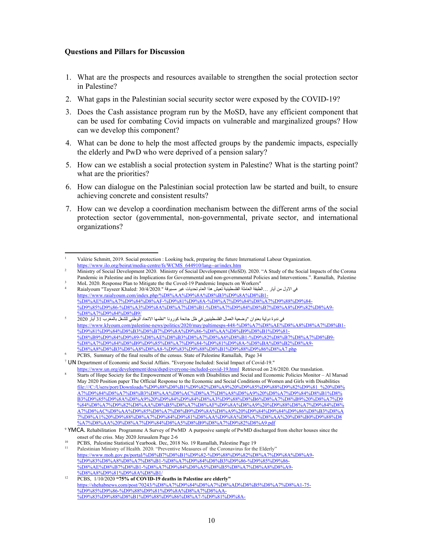#### **Questions and Pillars for Discussion**

- 1. What are the prospects and resources available to strengthen the social protection sector in Palestine?
- 2. What gaps in the Palestinian social security sector were exposed by the COVID-19?
- 3. Does the Cash assistance program run by the MoSD, have any efficient component that can be used for combating Covid impacts on vulnerable and marginalized groups? How can we develop this component?
- 4. What can be done to help the most affected groups by the pandemic impacts, especially the elderly and PwD who were deprived of a pension salary?
- 5. How can we establish a social protection system in Palestine? What is the starting point? what are the priorities?
- 6. How can dialogue on the Palestinian social protection law be started and built, to ensure achieving concrete and consistent results?
- 7. How can we develop a coordination mechanism between the different arms of the social protection sector (governmental, non-governmental, private sector, and international organizations?

<sup>1</sup> Valérie Schmitt, 2019. Social protection : Looking back, preparing the future International Labour Organization. https://www.ilo.org/beirut/media-centre/fs/WCMS\_644910/lang--ar/index.htm 2

Ministry of Social Development 2020. Ministry of Social Development (MoSD). 2020. "A Study of the Social Impacts of the Corona

Pandemic in Palestine and its Implications for Governmental and non-governmental Policies and Interventions.". Ramallah, Palestine MoL 2020. Response Plan to Mitigate the the Coved-19 Pandemic Impacts on Workers" 4

في الاول من أيار ...الطبقة العاملة الفلسطينية تعيش هذا العام تحديات غير مسبوقة ".Raialyoum "Tayseer Khaled: 30/4/2020 https://www.raialyoum.com/index.php/%D8%AA%D9%8A%D8%B3%D9%8A%D8%B1- %D8%AE%D8%A7%D9%84%D8%AF-%D9%81%D9%8A-%D8%A7%D9%84%D8%A7%D9%88%D9%84- %D9%85%D9%86-%D8%A3%D9%8A%D8%A7%D8%B1-%D8%A7%D9%84%D8%B7%D8%A8%D9%82%D8%A9- %D8%A7%D9%84%D8%B9/

<sup>5</sup> في ندوة دولية بعنوان "وضعية العمال الفلسطينيين في ظل جائحة كورونا "نظمها الاتحاد الوطني للشغل بالمغرب 31 أيار 2020 https://www.klyoum.com/palestine-news/politics/2020/may/paltimesps-448-%D8%A7%D8%AE%D8%A8%D8%A7%D8%B1- %D9%81%D9%84%D8%B3%D8%B7%D9%8A%D9%86-%D8%AA%D8%B9%D8%B1%D9%81- %D8%B9%D9%84%D9%89-%D8%AE%D8%B3%D8%A7%D8%A6%D8%B1-%D9%82%D8%B7%D8%A7%D8%B9- %D8%A7%D9%84%D8%B9%D9%85%D8%A7%D9%84-%D9%81%D9%8A-%D8%BA%D8%B2%D8%A9- %D8%A8%D8%B3%D8%A8%D8%A8-%D9%83%D9%88%D8%B1%D9%88%D9%86%D8%A7.php

<sup>6</sup> PCBS, Summary of the final results of the census. State of Palestine Ramallah, Page 34

<sup>7</sup> UN Department of Economic and Social Affairs. "Everyone Included: Social Impact of Covid-19." https://www.un.org/development/desa/dspd/everyone-included-covid-19.html Retrieved on 2/6/2020. Our translation. 8

Starts of Hope Society for the Empowerment of Women with Disabilities and Social and Economic Policies Monitor – Al Marsad May 2020 Position paper The Official Response to the Economic and Social Conditions of Women and Girls with Disabilities file:///C:/Users/port/Downloads/%D9%88%D8%B1%D9%82%D8%A9%20%D9%85%D9%88%D9%82%D9%81\_%20%D8% A7%D9%84%D8%A7%D8%B3%D8%AA%D8%AC%D8%A7%D8%A8%D8%A9%20%D8%A7%D9%84%D8%B1%D8% B3%D9%85%D9%8A%D8%A9%20%D9%84%D9%84%D8%A3%D9%88%D8%B6%D8%A7%D8%B9%20%D8%A7%D9 %84%D8%A7%D9%82%D8%AA%D8%B5%D8%A7%D8%AF%D9%8A%D8%A9%20%D9%88%D8%A7%D9%84%D8% A7%D8%AC%D8%AA%D9%85%D8%A7%D8%B9%D9%8A%D8%A9%20%D9%84%D9%84%D9%86%D8%B3%D8%A 7%D8%A1%20%D9%88%D8%A7%D9%84%D9%81%D8%AA%D9%8A%D8%A7%D8%AA%20%D8%B0%D9%88%D8 %A7%D8%AA%20%D8%A7%D9%84%D8%A5%D8%B9%D8%A7%D9%82%D8%A9.pdf

<sup>9</sup> YMCA. Rehabilitation Programme A Survey of PwMD A purposive sample of PwMD discharged from shelter houses since the onset of the criss. May 2020 Jerusalem Page 2-6<br>
<sup>10</sup> PCBS, Palestine Statistical Yearbook. Dec, 2018 No. 19 Ramallah, Palestine Page 19<br>
<sup>11</sup> Palestinian Ministry of Health. 2020. "Preventive Measures of the Coronavirus f

https://www.moh.gov.ps/portal/%D8%B7%D8%B1%D9%82-%D9%88%D9%82%D8%A7%D9%8A%D8%A9- %D9%83%D8%A8%D8%A7%D8%B1-%D8%A7%D9%84%D8%B3%D9%86-%D9%85%D9%86- %D8%AE%D8%B7%D8%B1-%D8%A7%D9%84%D8%A5%D8%B5%D8%A7%D8%A8%D8%A9- %D8%A8%D9%81%D9%8A%D8%B1/

<sup>12</sup> PCBS, 1/10/2020 **"75% of COVID-19 deaths in Palestine are elderly"** https://shehabnews.com/post/70243/%D8%A7%D9%84%D8%A7%D8%AD%D8%B5%D8%A7%D8%A1-75- %D9%85%D9%86-%D9%88%D9%81%D9%8A%D8%A7%D8%AA- %D9%83%D9%88%D8%B1%D9%88%D9%86%D8%A7-%D9%81%D9%8A-